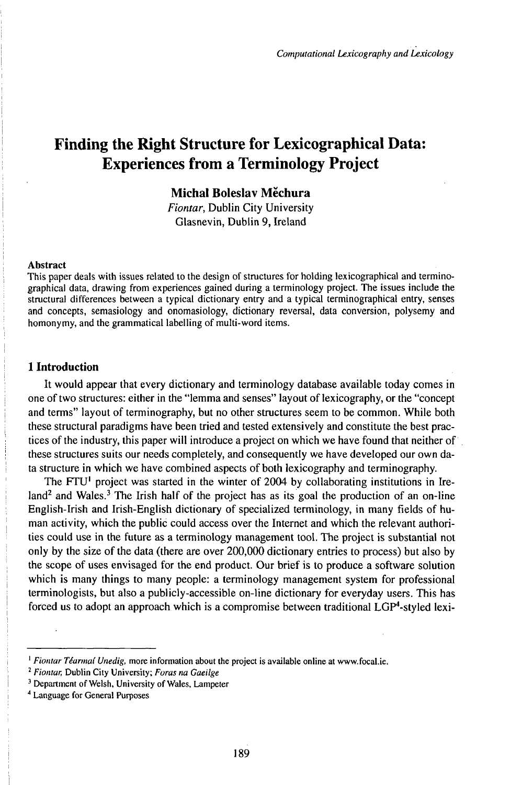# Finding the Right Structure for Lexicographical Data: Experiences from a Terminology Project

# Michal Boleslav Měchura

*Fiontar,* Dublin City University Glasnevin, Dublin 9, freland

### Abstract

This paper deals with issues related to the design of structures for holding lexicographical and terminographical data, drawing from experiences gained during a terminology project. The issues include the structural differences between a typical dictionary entry and a typical terminographical entry, senses and concepts, semasiology and onomasiology, dictionary reversal, data conversion, polysemy and homonymy, and the grammatical labelling of multi-word items.

### **1 Introduction**

It would appear that every dictionary and terminology database available today comes in one of two structures: either in the "lemma and senses" layout of lexicography, or the "concept and terms" layout of terminography, but no other structures seem to be common. While both these structural paradigms have been tried and tested extensively and constitute the best practices of the industry, this paper will introduce a project on which we have found that neither of these structures suits our needs completely, and consequently we have developed our own data structure in which we have combined aspects of both lexicography and terminography.

The FTU<sup>1</sup> project was started in the winter of 2004 by collaborating institutions in Ireland<sup>2</sup> and Wales.<sup>3</sup> The Irish half of the project has as its goal the production of an on-line English-Irish and Irish-English dictionary of specialized terminology, in many fields of human activity, which the public could access over the Internet and which the relevant authorities could use in the future as a terminology management tool. The project is substantial not only by the size of the data (there are over 200,000 dictionary entries to process) but also by the scope of uses envisaged for the end product. Our brief is to produce a software solution which is many things to many people: a terminology management system for professional terminologists, but also a publicly-accessible on-line dictionary for everyday users. This has forced us to adopt an approach which is a compromise between traditional LGP\*-styled lexi-

<sup>1</sup> *Fiontar Téarmaí Unedig,* more information about the project is available online at www.focal.ie.

<sup>2</sup> *Fiontar,* Dublin City University; *Foras na Gaeilge*

<sup>&</sup>lt;sup>3</sup> Department of Welsh, University of Wales, Lampeter

<sup>4</sup> Language for General Purposes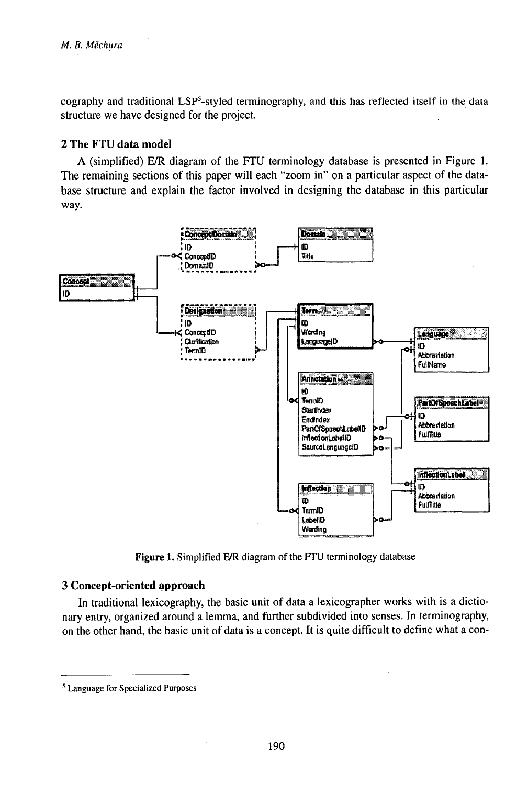cography and traditional LSP<sup>5</sup>-styled terminography, and this has reflected itself in the data structure we have designed for the project.

# 2 The FTU data model

A (simplified) E/R diagram of the FTU terminology database is presented in Figure 1. The remaining sections of this paper will each "zoom in" on a particular aspect of the database structure and explain the factor involved in designing the database in this particular way.



Figure 1. Simplified E/R diagram of the FTU terminology database

### 3 Concept-oriented approach

In traditional lexicography, the basic unit of data a lexicographer works with is a dictionary entry, organized around a lemma, and further subdivided into senses. In terminography, on the other hand, the basic unit of data is a concept. It is quite difficult to define what a con-

<sup>&</sup>lt;sup>5</sup> Language for Specialized Purposes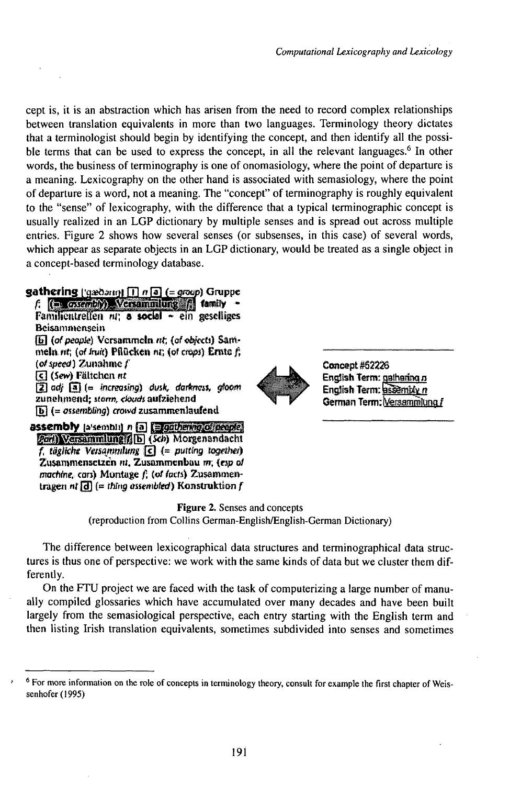cept is, it is an abstraction which has arisen from the need to record complex relationships between translation equivalents in more than two languages. Terminology theory dictates that a terminologist should begin by identifying the concept, and then identify all the possible terms that can be used to express the concept, in all the relevant languages.<sup>6</sup> In other words, the business of terminography is one of onomasiology, where the point of departure is a meaning. Lexicography on the other hand is associated with semasiology, where the point of departure is a word, not a meaning. The "concept" of terminography is roughly equivalent to the "sense" of lexicography, with the difference that a typical terminographic concept is usually realized in an LGP dictionary by multiple senses and is spread out across multiple entries. Figure 2 shows how several senses (or subsenses, in this case) of several words, which appear as separate objects in an LGP dictionary, would be treated as a single object in a concept-based terminology database.

# gathering  $| \cdot |$ gaðam) [T]  $\sigma$ [a] (= group) Gruppe

 $f:$  (in  $\cos(\omega t)$ ) Versoninlume  $f$  family Familientreffen  $m$ ; a social  $\sim$  ein geselliges Beisammensein [b] (of people) Versammeln nt; (of objects) Sammeln nt; (of fruit) Pflücken nt; (of crops) Ernte f;  $(\alpha\text{ speed})$  Zunahme  $f$ **दि (Sew) Fältchen nt**  $\left|2\right|$  adj  $\left|3\right|$  (= increasing) dusk, darkness, gloom



assembly (alsembli) n a Equitorian of people

**Garl)** Versammlung ( [b] (Scb) Morgenandacht  $f_i$  tägliche Versammlung  $\lceil \epsilon \rceil$  (= putting together) Zusammensetzen m. Zusammenbau m. (esp of machine, cars) Montage f, (of facts) Zusammentragen nt [d]  $(=$  thing assembted) Konstruktion f



Concept #62226 English Term: gatharing n English Term: assembly n German Term: Versammlung f

**Figure 2.** Senses and concepts (reproduction from Collins German-English/English-German Dictionary)

The difference between lexicographical data structures and terminographical data structures is thus one of perspective: we work with the same kinds of data but we cluster them differently.

On the FTU project we are faced with the task of computerizing a large number of manually compiled glossaries which have accumulated over many decades and have been built largely from the semasiological perspective, each entry starting with the English term and then listing Irish translation equivalents, sometimes subdivided into senses and sometimes

<sup>&</sup>lt;sup>6</sup> For more information on the role of concepts in terminology theory, consult for example the first chapter of Weissenhofer (1995)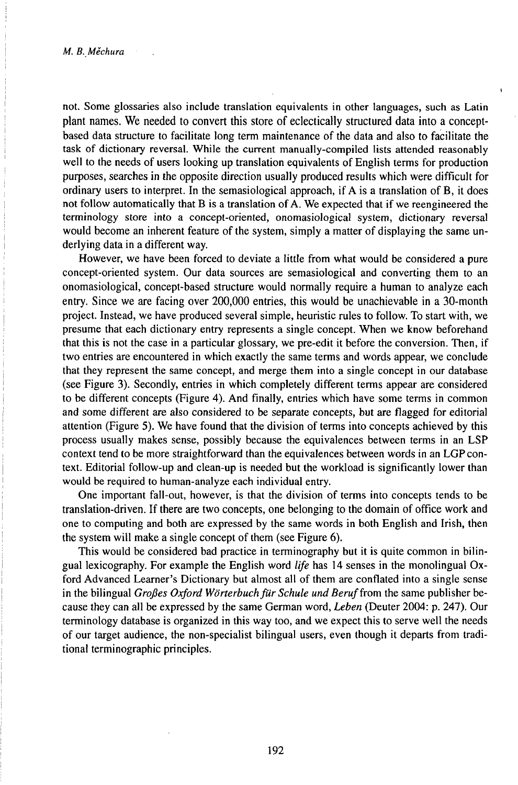not. Some glossaries also include translation equivalents in other languages, such as Latin plant names. We needed to convert this store of eclectically structured data into a conceptbased data structure to facilitate long term maintenance of the data and also to facilitate the task of dictionary reversal. While the current manually-compiled lists attended reasonably well to the needs of users looking up translation equivalents of English terms for production purposes, searches in the opposite direction usually produced results which were difficult for ordinary users to interpret. In the semasiological approach, ifAis a translation ofB, it does not follow automatically that B is a translation ofA. We expected that if we reengineered the terminology store into a concept-oriented, onomasiological system, dictionary reversal would become an inherent feature of the system, simply a matter of displaying the same underlying data in a different way.

However, we have been forced to deviate a little from what would be considered a pure concept-oriented system. Our data sources are semasiological and converting them to an onomasiological, concept-based structure would normally require a human to analyze each entry. Since we are facing over 200,000 entries, this would be unachievable in a 30-month project. Instead, we have produced several simple, heuristic rules to follow. To start with, we presume that each dictionary entry represents a single concept. When we know beforehand that this is not the case in a particular glossary, we pre-edit it before the conversion. Then, if two entries are encountered in which exactly the same terms and words appear, we conclude that they represent the same concept, and merge them into a single concept in our database (see Figure 3). Secondly, entries in which completely different terms appear are considered to be different concepts (Figure 4). And finally, entries which have some terms in common and some different are also considered to be separate concepts, but are flagged for editorial attention (Figure 5). We have found that the division of terms into concepts achieved by this process usually makes sense, possibly because the equivalences between terms in an LSP context tend to be more straightforward than the equivalences between words in an LGP context. Editorial follow-up and clean-up is needed but the workload is significantly lower than would be required to human-analyze each individual entry.

One important fall-out, however, is that the division of terms into concepts tends to be translation-driven. If there are two concepts, one belonging to the domain of office work and one to computing and both are expressed by the same words in both English and Irish, then the system will make a single concept of them (see Figure 6).

This would be considered bad practice in terminography but it is quite common in bilingual lexicography. For example the English word *life* has 14 senses in the monolingual Oxford Advanced Learner's Dictionary but almost all of them are conflated into a single sense in the bilingual *Großes Oxford Wörterbuch für Schule und Beruf* from the same publisher because they can all be expressed by the same German word, *Leben* (Deuter 2004: p. 247). Our terminology database is organized in this way too, and we expect this to serve well the needs of our target audience, the non-specialist bilingual users, even though it departs from traditional terminographic principles.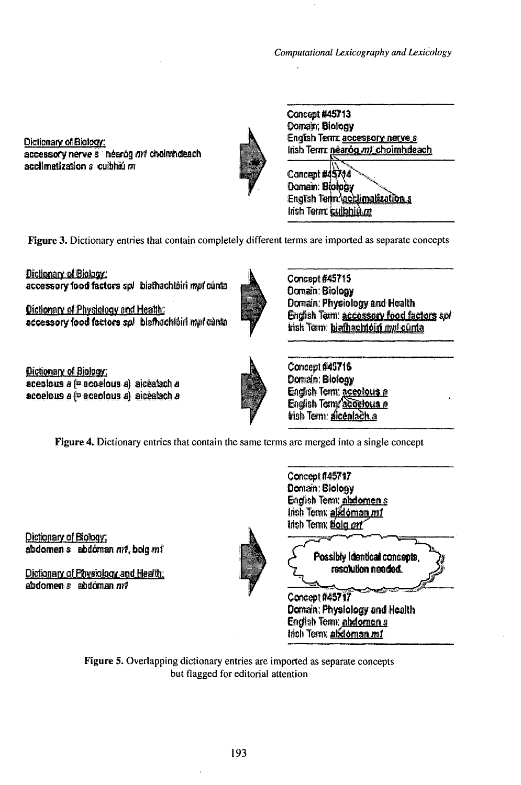Computational Lexicography and Lexicology

Dictionary of Biology: accessory nerve s néeróg ant choimhdeach acclimatization a cuibhiú m



Cancept #45713 Domain; Biology English Term: accessory narve s Irish Terrra néaróg m1 choimhdeach

Concept #45744 Domain: Biology English Term acclimatization s Irish Term: cuibhiù m

Figure 3. Dictionary entries that contain completely different terms are imported as separate concepts

Dictionary of Biology: accessory food factors spl biathachtain mpf cunta

Dictionary of Physiology and Health: accessory food factors spl blathachtoiri mpl cunta



Concept #45715 Domain: Biology Domain: Physiology and Health English Term: accessory food factors sof tish Tern: hiafhachtóin mol cunta

Dictionary of Biology: aceolous a (= acoelous a) aiceabch a acoelous a f= aceolous a) aiceatach a



Dictionary of Biology: abdomen s abdóman nrt, bolg mí

Dictionary of Physiology and Health:  $abdomen s$   $abdomen nr!$ 



Concept #45717 Domain: Blology **English Temx abdomens** trish Term: alikloman mf trich Term Bola on

Concept #45716

Domain: Blology

English Term: accolous a

English Term accelous a trish Term: alcentach a

Possibly identical concepts, resolution needed.

Concept #45717 Domain: Physiology and Health English Term: abdomen s Irish Temx abdoman mf

Figure 5. Overlapping dictionary entries are imported as separate concepts but flagged for editorial attention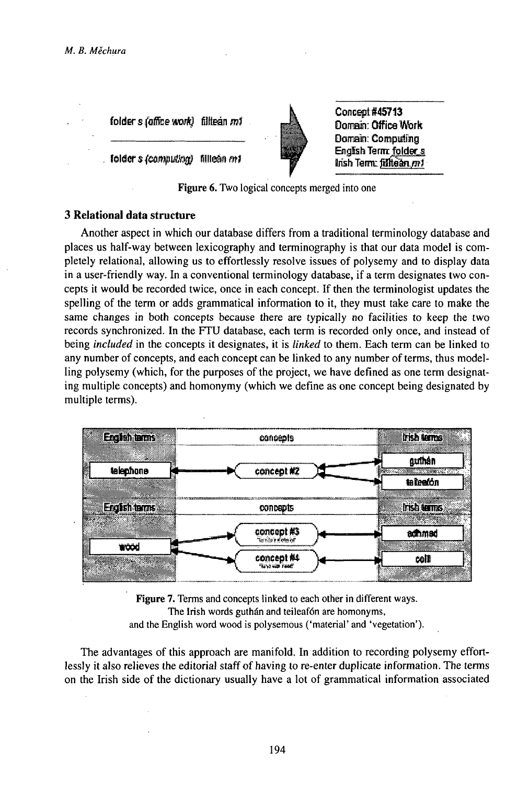folder s foffice world filltean m1

**folder** s (computing) filleán m1



Concept #45713 Domain: Office Work Domain: Computing English Term: folder\_s Insh Term: filltean.mf

Figure 6. Two logical concepts merged into one

# 3 Relational data structure

Another aspect in which our database differs from a traditional terminology database and places us half-way between lexicography and terminography is that our data model is completely relational, allowing us to effortlessly resolve issues of polysemy and to display data in a user-friendly way. In a conventional terminology database, if a term designates two concepts it would be recorded twice, once in each concept. If then the terminologist updates the spelling of the term or adds grammatical information to it, they must take care to make the same changes in both concepts because there are typically no facilities to keep the two records synchronized. In the FTU database, each term is recorded only once, and instead of being *included* in the concepts it designates, it is *linked* to them. Each term can be linked to any number of concepts, and each concept can be linked to any number of terms, thus modelling polysemy (which, for the purposes of the project, we have defined as one term designating multiple concepts) and homonymy (which we define as one concept being designated by multiple terms).



**Figure 7.** Terms and concepts linked to each other in different ways. The Irish words guthán and teileafón are homonyms, and the English word wood is polysemous ('material' and 'vegetation').

The advantages of this approach are manifold. In addition to recording polysemy effortlessly it also relieves the editorial staff of having to re-enter duplicate information. The terms on the Irish side of the dictionary usually have a lot of grammatical information associated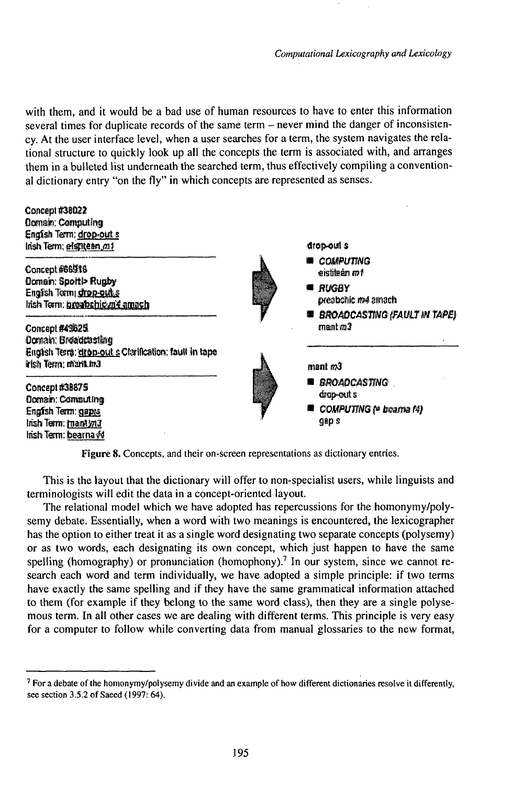with them, and it would be a bad use of human resources to have to enter this information several times for duplicate records of the same term – never mind the danger of inconsistency. At the user interface level, when a user searches for a term, the system navigates the relational structure to quickly look up all the concepts the term is associated with, and arranges them in a bulleted list underneath the searched term, thus effectively compiling a conventional dictionary entry "on the fly" in which concepts are represented as senses.

Concept #38022 Domain; Computing English Term; drop-out s Irish Term; etstillean m1 drop-out s **COMPUTING** Concept #66916 tm nàsilais. Domain: Sportl> Rugby **U RUGBY** English Termi grop-out s preabonic m4 amach litsh Term: preabchig m¥ amach **BROADCASTING (FAULT IN TAPE)**  $f(m)$ Concept #49825 Domain: Broadcosting English Terra: drop-out a Ctarification: fault in tape. irish Term; marit.in3  $mant$   $m3$ ■ BROADCASTING Concept #38875 drop-out s Domain: Computing COMPUTING (= beama f4) English Term: gapys **asps** Irish Term: mant will Irish Term: bearna yd

Figure 8. Concepts, and their on-screen representations as dictionary entries.

This is the layout that the dictionary will offer to non-specialist users, while linguists and terminologists will edit the data in a concept-oriented layout.

The relational model which we have adopted has repercussions for the homonymy/polysemy debate. Essentially, when a word with two meanings is encountered, the lexicographer has the option to either treat it as a single word designating two separate concepts (polysemy) or as two words, each designating its own concept, which just happen to have the same spelling (homography) or pronunciation (homophony).<sup>7</sup> In our system, since we cannot research each word and term individually, we have adopted a simple principle: if two terms have exactly the same spelling and if they have the same grammatical information attached to them (for example if they belong to the same word class), then they are a single polysemous term. In all other cases we are dealing with different terms. This principle is very easy for a computer to follow while converting data from manual glossaries to the new format,

 $\frac{7}{1}$  For a debate of the homonymy/polysemy divide and an example of how different dictionaries resolve it differently, see section 3.5.2 of Saeed (1997: 64).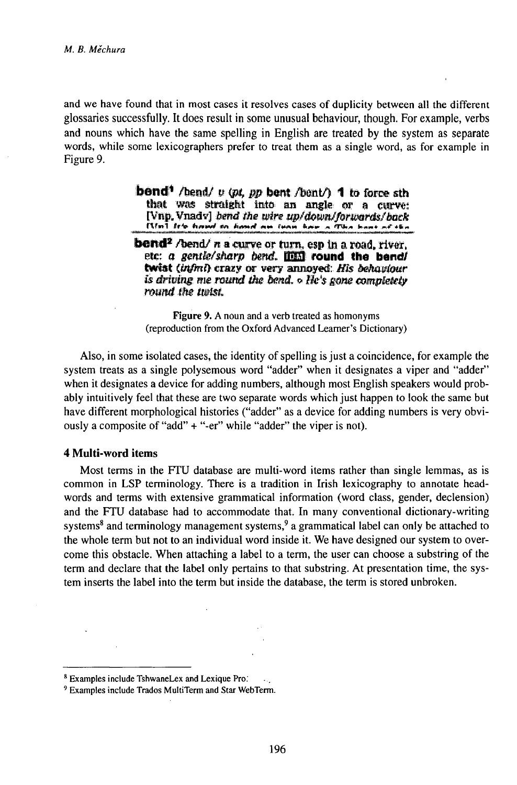and we have found that in most cases it resolves cases of duplicity between all the different glossaries successfully. It does result in some unusual behaviour, though. For example, verbs and nouns which have the same spelling in English are treated by the system as separate words, while some lexicographers prefer to treat them as a single word, as for example in Figure 9.

> **bond**<sup>1</sup> /bend/ v (pt, pp bent /bent/) 1 to force sth that was straight into an angle or a curve: [Vnp, Vnady] bend the wire up/down/forwards/back [Vm] fr's hound on honed am them have a This hour of the

**bend<sup>2</sup>** /bend/ n a curve or turn, esp in a road, river, etc: a gentle/sharp bend. IIII round the bend/ twist (infini) crazy or very annoyed: His behaviour is driving me round the bend,  $\circ$  He's gane completely round the tudst.

Figure 9. A noun and a verb treated as homonyms (reproduction from the Oxford Advanced Learner's Dictionary)

Also, in some isolated cases, the identity of spelling is just a coincidence, for example the system treats as a single polysemous word "adder" when it designates a viper and "adder" when it designates a device for adding numbers, although most English speakers would probably intuitively feel that these are two separate words which just happen to look the same but have different morphological histories ("adder" as a device for adding numbers is very obviously a composite of "add" + "-er" while "adder" the viper is not).

### **4 Multi-word items**

Most terms in the FTU database are multi-word items rather than single lemmas, as is common in LSP terminology. There is a tradition in Irish lexicography to annotate headwords and terms with extensive grammatical information (word class, gender, declension) and the FTU database had to accommodate that. In many conventional dictionary-writing systems<sup>8</sup> and terminology management systems,<sup>9</sup> a grammatical label can only be attached to the whole term but not to an individual word inside it. We have designed our system to overcome this obstacle. When attaching a label to a term, the user can choose a substring of the term and declare that the label only pertains to that substring. At presentation time, the system inserts the label into the term but inside the database, the term is stored unbroken.

<sup>&</sup>lt;sup>8</sup> Examples include TshwaneLex and Lexique Pro.

<sup>&</sup>lt;sup>9</sup> Examples include Trados MultiTerm and Star WebTerm.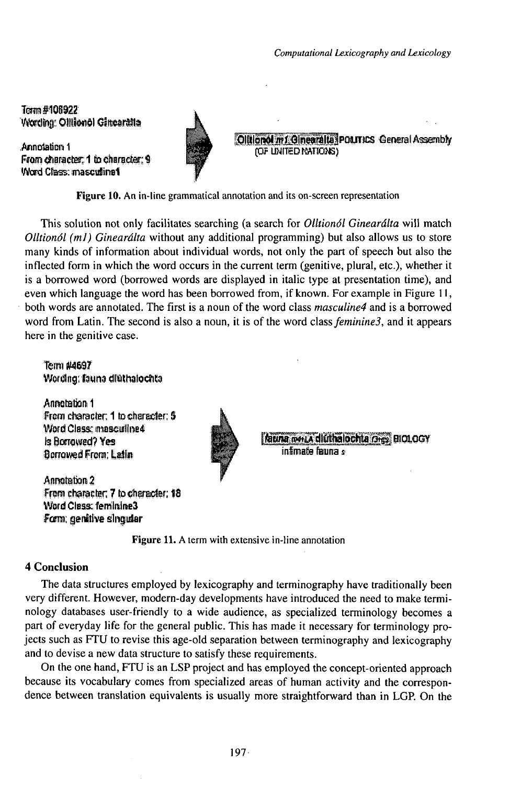Term #106922 Wording: Ollilonol Ginearatta

Annotation 1 From character: 1 to character: 9 Word Class: masculing1





Figure 10. An in-line grammatical annotation and its on-screen representation

This solution not only facilitates searching (a search for Olltionól Ginearálta will match Olltionól (m1) Ginearálta without any additional programming) but also allows us to store many kinds of information about individual words, not only the part of speech but also the inflected form in which the word occurs in the current term (genitive, plural, etc.), whether it is a borrowed word (borrowed words are displayed in italic type at presentation time), and even which language the word has been borrowed from, if known. For example in Figure 11, both words are annotated. The first is a noun of the word class *masculine4* and is a borrowed word from Latin. The second is also a noun, it is of the word class *feminine3*, and it appears here in the genitive case.

# Term #4697 Wording: fauna diuthalochta

Annotation 1 From character: 1 to character: 5 Word Class: masculine4 Is Borrowed? Yes Borrowed From; Latin

Annatation 2 From character; 7 to character; 18 Word Class: feminine3 Form: genitive singular



Rauna menta diuthalochta (3Hrs) **BIOLOGY** e Rough Britaini

Figure 11. A term with extensive in-line annotation

### **4 Conclusion**

The data structures employed by lexicography and terminography have traditionally been very different. However, modern-day developments have introduced the need to make terminology databases user-friendly to a wide audience, as specialized terminology becomes a part of everyday life for the general public. This has made it necessary for terminology projects such as FTU to revise this age-old separation between terminography and lexicography and to devise a new data structure to satisfy these requirements.

On the one hand, FTU is an LSP project and has employed the concept-oriented approach because its vocabulary comes from specialized areas of human activity and the correspondence between translation equivalents is usually more straightforward than in LGP. On the